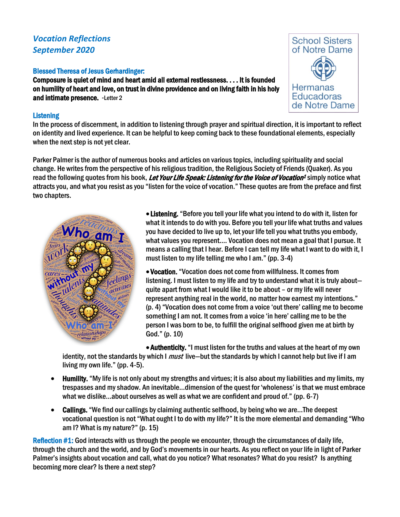# *Vocation Reflections September 2020*

# Blessed Theresa of Jesus Gerhardinger:

Composure is quiet of mind and heart amid all external restlessness. . . . It is founded on humility of heart and love, on trust in divine providence and on living faith in his holy and intimate presence. -Letter 2

# **Listening**

In the process of discernment, in addition to listening through prayer and spiritual direction, it is important to reflect on identity and lived experience. It can be helpful to keep coming back to these foundational elements, especially when the next step is not yet clear.

Parker Palmer is the author of numerous books and articles on various topics, including spirituality and social change. He writes from the perspective of his religious tradition, the Religious Society of Friends (Quaker). As you read the following quotes from his book, Let Your Life Speak: Listening for the Voice of Vocation<sup>1</sup> simply notice what attracts you, and what you resist as you "listen for the voice of vocation." These quotes are from the preface and first two chapters.



• Listening. "Before you tell your life what you intend to do with it, listen for what it intends to do with you. Before you tell your life what truths and values you have decided to live up to, let your life tell you what truths you embody, what values you represent…. Vocation does not mean a goal that I pursue. It means a calling that I hear. Before I can tell my life what I want to do with it, I must listen to my life telling me who I am." (pp. 3-4)

• Vocation. "Vocation does not come from willfulness. It comes from listening. I must listen to my life and try to understand what it is truly about quite apart from what I would like it to be about – or my life will never represent anything real in the world, no matter how earnest my intentions." (p. 4) "Vocation does not come from a voice 'out there' calling me to become something I am not. It comes from a voice 'in here' calling me to be the person I was born to be, to fulfill the original selfhood given me at birth by God." (p. 10)

• Authenticity."I must listen for the truths and values at the heart of my own identity, not the standards by which I *must* live—but the standards by which I cannot help but live if I am living my own life." (pp. 4-5).

- Humility. "My life is not only about my strengths and virtues; it is also about my liabilities and my limits, my trespasses and my shadow. An inevitable…dimension of the quest for 'wholeness' is that we must embrace what we dislike…about ourselves as well as what we are confident and proud of." (pp. 6-7)
- Callings. "We find our callings by claiming authentic selfhood, by being who we are...The deepest vocational question is not "What ought I to do with my life?" It is the more elemental and demanding "Who am I? What is my nature?" (p. 15)

Reflection #1: God interacts with us through the people we encounter, through the circumstances of daily life, through the church and the world, and by God's movements in our hearts. As you reflect on your life in light of Parker Palmer's insights about vocation and call, what do you notice? What resonates? What do you resist? Is anything becoming more clear? Is there a next step?